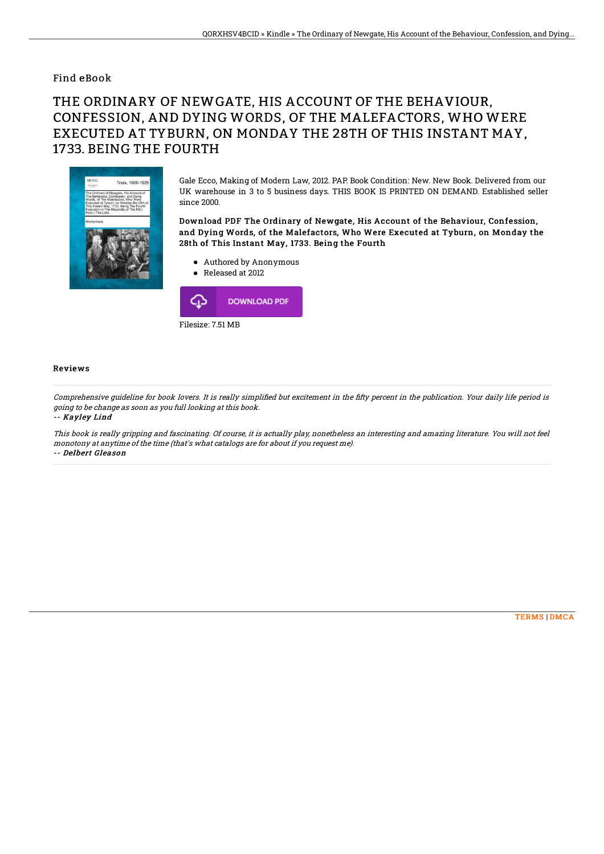### Find eBook

# THE ORDINARY OF NEWGATE, HIS ACCOUNT OF THE BEHAVIOUR, CONFESSION, AND DYING WORDS, OF THE MALEFACTORS, WHO WERE EXECUTED AT TYBURN, ON MONDAY THE 28TH OF THIS INSTANT MAY, 1733. BEING THE FOURTH



Gale Ecco, Making of Modern Law, 2012. PAP. Book Condition: New. New Book. Delivered from our UK warehouse in 3 to 5 business days. THIS BOOK IS PRINTED ON DEMAND. Established seller since 2000.

#### Download PDF The Ordinary of Newgate, His Account of the Behaviour, Confession, and Dying Words, of the Malefactors, Who Were Executed at Tyburn, on Monday the 28th of This Instant May, 1733. Being the Fourth

- Authored by Anonymous
- Released at 2012



#### Reviews

Comprehensive guideline for book lovers. It is really simplified but excitement in the fifty percent in the publication. Your daily life period is going to be change as soon as you full looking at this book.

-- Kayley Lind

This book is really gripping and fascinating. Of course, it is actually play, nonetheless an interesting and amazing literature. You will not feel monotony at anytime of the time (that's what catalogs are for about if you request me). -- Delbert Gleason